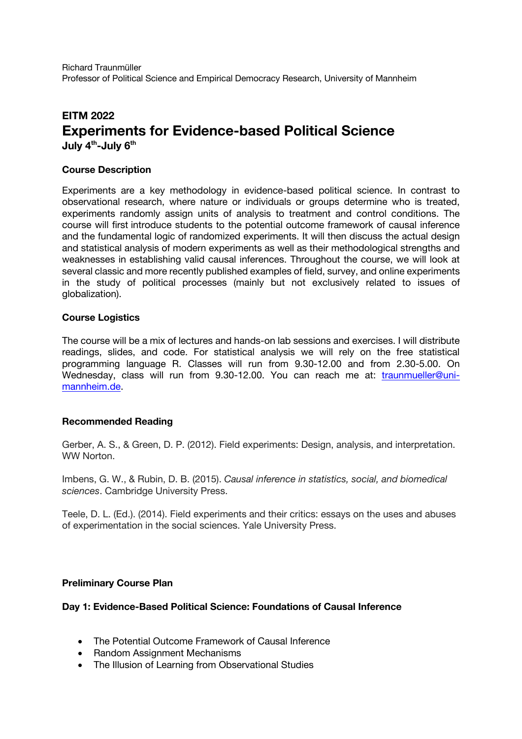Richard Traunmüller Professor of Political Science and Empirical Democracy Research, University of Mannheim

# **EITM 2022 Experiments for Evidence-based Political Science**

**July 4th -July 6th**

## **Course Description**

Experiments are a key methodology in evidence-based political science. In contrast to observational research, where nature or individuals or groups determine who is treated, experiments randomly assign units of analysis to treatment and control conditions. The course will first introduce students to the potential outcome framework of causal inference and the fundamental logic of randomized experiments. It will then discuss the actual design and statistical analysis of modern experiments as well as their methodological strengths and weaknesses in establishing valid causal inferences. Throughout the course, we will look at several classic and more recently published examples of field, survey, and online experiments in the study of political processes (mainly but not exclusively related to issues of globalization).

## **Course Logistics**

The course will be a mix of lectures and hands-on lab sessions and exercises. I will distribute readings, slides, and code. For statistical analysis we will rely on the free statistical programming language R. Classes will run from 9.30-12.00 and from 2.30-5.00. On Wednesday, class will run from 9.30-12.00. You can reach me at: traunmueller@unimannheim.de.

# **Recommended Reading**

Gerber, A. S., & Green, D. P. (2012). Field experiments: Design, analysis, and interpretation. WW Norton.

Imbens, G. W., & Rubin, D. B. (2015). *Causal inference in statistics, social, and biomedical sciences*. Cambridge University Press.

Teele, D. L. (Ed.). (2014). Field experiments and their critics: essays on the uses and abuses of experimentation in the social sciences. Yale University Press.

#### **Preliminary Course Plan**

#### **Day 1: Evidence-Based Political Science: Foundations of Causal Inference**

- The Potential Outcome Framework of Causal Inference
- Random Assignment Mechanisms
- The Illusion of Learning from Observational Studies